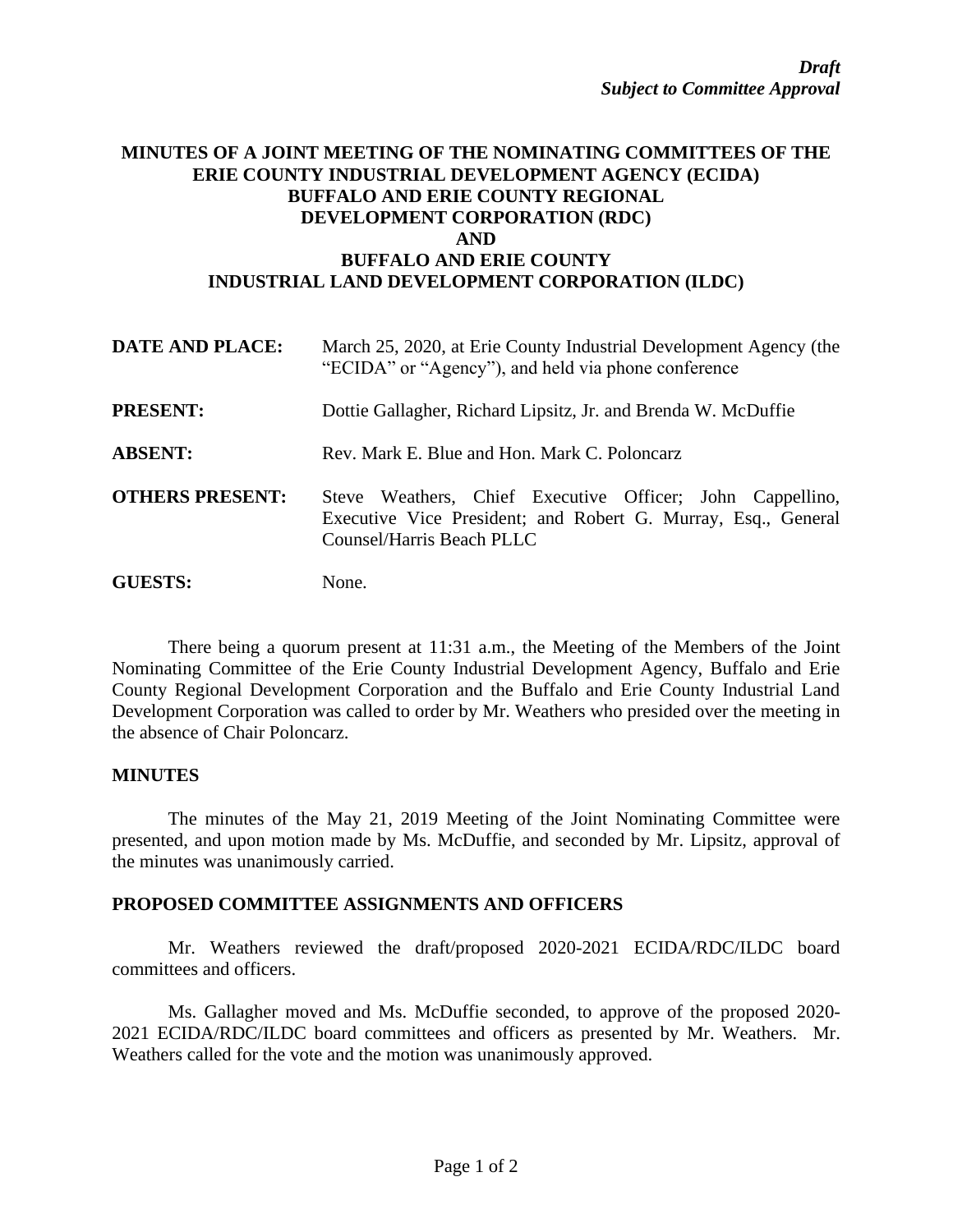## **MINUTES OF A JOINT MEETING OF THE NOMINATING COMMITTEES OF THE ERIE COUNTY INDUSTRIAL DEVELOPMENT AGENCY (ECIDA) BUFFALO AND ERIE COUNTY REGIONAL DEVELOPMENT CORPORATION (RDC) AND BUFFALO AND ERIE COUNTY INDUSTRIAL LAND DEVELOPMENT CORPORATION (ILDC)**

| <b>DATE AND PLACE:</b> | March 25, 2020, at Erie County Industrial Development Agency (the<br>"ECIDA" or "Agency"), and held via phone conference                                |
|------------------------|---------------------------------------------------------------------------------------------------------------------------------------------------------|
| <b>PRESENT:</b>        | Dottie Gallagher, Richard Lipsitz, Jr. and Brenda W. McDuffie                                                                                           |
| <b>ABSENT:</b>         | Rev. Mark E. Blue and Hon. Mark C. Poloncarz                                                                                                            |
| <b>OTHERS PRESENT:</b> | Steve Weathers, Chief Executive Officer; John Cappellino,<br>Executive Vice President; and Robert G. Murray, Esq., General<br>Counsel/Harris Beach PLLC |
| <b>GUESTS:</b>         | None.                                                                                                                                                   |

There being a quorum present at 11:31 a.m., the Meeting of the Members of the Joint Nominating Committee of the Erie County Industrial Development Agency, Buffalo and Erie County Regional Development Corporation and the Buffalo and Erie County Industrial Land Development Corporation was called to order by Mr. Weathers who presided over the meeting in the absence of Chair Poloncarz.

## **MINUTES**

The minutes of the May 21, 2019 Meeting of the Joint Nominating Committee were presented, and upon motion made by Ms. McDuffie, and seconded by Mr. Lipsitz, approval of the minutes was unanimously carried.

## **PROPOSED COMMITTEE ASSIGNMENTS AND OFFICERS**

Mr. Weathers reviewed the draft/proposed 2020-2021 ECIDA/RDC/ILDC board committees and officers.

Ms. Gallagher moved and Ms. McDuffie seconded, to approve of the proposed 2020- 2021 ECIDA/RDC/ILDC board committees and officers as presented by Mr. Weathers. Mr. Weathers called for the vote and the motion was unanimously approved.